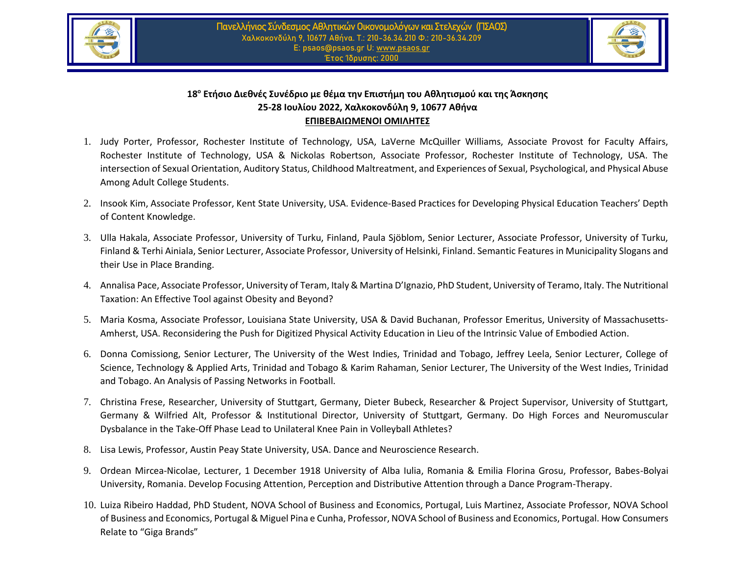



## **18<sup>ο</sup> Ετήσιο Διεθνές Συνέδριο με θέμα την Επιστήμη του Αθλητισμού και της Άσκησης 25-28 Ιουλίου 2022, Χαλκοκονδύλη 9, 10677 Αθήνα EΠΙΒΕΒΑΙΩΜΕΝΟΙ ΟΜΙΛΗΤΕΣ**

- 1. Judy Porter, Professor, Rochester Institute of Technology, USA, LaVerne McQuiller Williams, Associate Provost for Faculty Affairs, Rochester Institute of Technology, USA & Nickolas Robertson, Associate Professor, Rochester Institute of Technology, USA. The intersection of Sexual Orientation, Auditory Status, Childhood Maltreatment, and Experiences of Sexual, Psychological, and Physical Abuse Among Adult College Students.
- 2. Insook Kim, Associate Professor, Kent State University, USA. Evidence-Based Practices for Developing Physical Education Teachers' Depth of Content Knowledge.
- 3. Ulla Hakala, Associate Professor, University of Turku, Finland, Paula Sjöblom, Senior Lecturer, Associate Professor, University of Turku, Finland & Terhi Ainiala, Senior Lecturer, Associate Professor, University of Helsinki, Finland. Semantic Features in Municipality Slogans and their Use in Place Branding.
- 4. Annalisa Pace, Associate Professor, University of Teram, Italy & Martina D'Ignazio, PhD Student, University of Teramo, Italy. The Nutritional Taxation: An Effective Tool against Obesity and Beyond?
- 5. Maria Kosma, Associate Professor, Louisiana State University, USA & David Buchanan, Professor Emeritus, University of Massachusetts-Amherst, USA. Reconsidering the Push for Digitized Physical Activity Education in Lieu of the Intrinsic Value of Embodied Action.
- 6. Donna Comissiong, Senior Lecturer, The University of the West Indies, Trinidad and Tobago, Jeffrey Leela, Senior Lecturer, College of Science, Technology & Applied Arts, Trinidad and Tobago & Karim Rahaman, Senior Lecturer, The University of the West Indies, Trinidad and Tobago. An Analysis of Passing Networks in Football.
- 7. Christina Frese, Researcher, University of Stuttgart, Germany, Dieter Bubeck, Researcher & Project Supervisor, University of Stuttgart, Germany & Wilfried Alt, Professor & Institutional Director, University of Stuttgart, Germany. Do High Forces and Neuromuscular Dysbalance in the Take-Off Phase Lead to Unilateral Knee Pain in Volleyball Athletes?
- 8. Lisa Lewis, Professor, Austin Peay State University, USA. Dance and Neuroscience Research.
- 9. Ordean Mircea-Nicolae, Lecturer, 1 December 1918 University of Alba Iulia, Romania & Emilia Florina Grosu, Professor, Babes-Bolyai University, Romania. Develop Focusing Attention, Perception and Distributive Attention through a Dance Program-Therapy.
- 10. Luiza Ribeiro Haddad, PhD Student, NOVA School of Business and Economics, Portugal, Luis Martinez, Associate Professor, NOVA School of Business and Economics, Portugal & Miguel Pina e Cunha, Professor, NOVA School of Business and Economics, Portugal. How Consumers Relate to "Giga Brands"